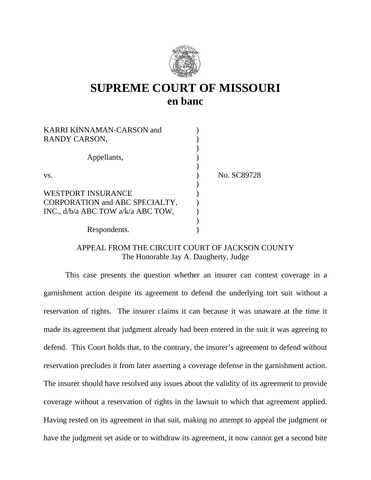

# **SUPREME COURT OF MISSOURI en banc**

| <b>KARRI KINNAMAN-CARSON and</b>   |             |
|------------------------------------|-------------|
| RANDY CARSON,                      |             |
|                                    |             |
| Appellants,                        |             |
|                                    |             |
| VS.                                | No. SC89728 |
|                                    |             |
| <b>WESTPORT INSURANCE</b>          |             |
| CORPORATION and ABC SPECIALTY,     |             |
| INC., d/b/a ABC TOW a/k/a ABC TOW, |             |
|                                    |             |
| Respondents.                       |             |

# APPEAL FROM THE CIRCUIT COURT OF JACKSON COUNTY The Honorable Jay A. Daugherty, Judge

 This case presents the question whether an insurer can contest coverage in a garnishment action despite its agreement to defend the underlying tort suit without a reservation of rights. The insurer claims it can because it was unaware at the time it made its agreement that judgment already had been entered in the suit it was agreeing to defend. This Court holds that, to the contrary, the insurer's agreement to defend without reservation precludes it from later asserting a coverage defense in the garnishment action. The insurer should have resolved any issues about the validity of its agreement to provide coverage without a reservation of rights in the lawsuit to which that agreement applied. Having rested on its agreement in that suit, making no attempt to appeal the judgment or have the judgment set aside or to withdraw its agreement, it now cannot get a second bite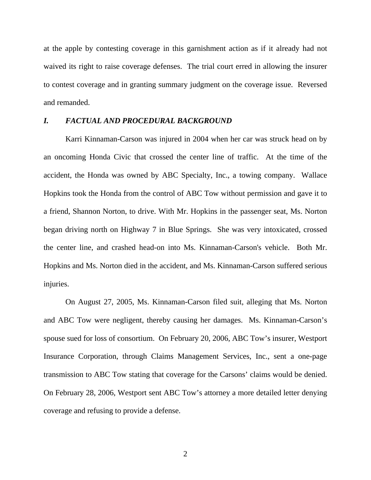at the apple by contesting coverage in this garnishment action as if it already had not waived its right to raise coverage defenses. The trial court erred in allowing the insurer to contest coverage and in granting summary judgment on the coverage issue. Reversed and remanded.

### *I. FACTUAL AND PROCEDURAL BACKGROUND*

Karri Kinnaman-Carson was injured in 2004 when her car was struck head on by an oncoming Honda Civic that crossed the center line of traffic. At the time of the accident, the Honda was owned by ABC Specialty, Inc., a towing company. Wallace Hopkins took the Honda from the control of ABC Tow without permission and gave it to a friend, Shannon Norton, to drive. With Mr. Hopkins in the passenger seat, Ms. Norton began driving north on Highway 7 in Blue Springs. She was very intoxicated, crossed the center line, and crashed head-on into Ms. Kinnaman-Carson's vehicle. Both Mr. Hopkins and Ms. Norton died in the accident, and Ms. Kinnaman-Carson suffered serious injuries.

On August 27, 2005, Ms. Kinnaman-Carson filed suit, alleging that Ms. Norton and ABC Tow were negligent, thereby causing her damages. Ms. Kinnaman-Carson's spouse sued for loss of consortium. On February 20, 2006, ABC Tow's insurer, Westport Insurance Corporation, through Claims Management Services, Inc., sent a one-page transmission to ABC Tow stating that coverage for the Carsons' claims would be denied. On February 28, 2006, Westport sent ABC Tow's attorney a more detailed letter denying coverage and refusing to provide a defense.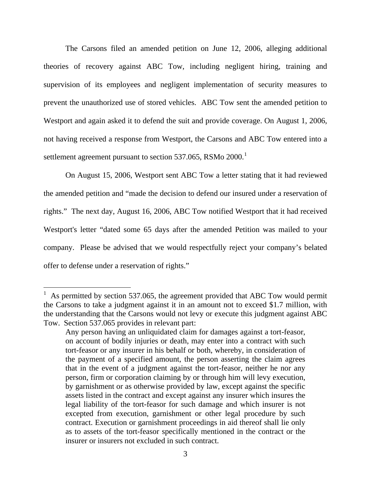The Carsons filed an amended petition on June 12, 2006, alleging additional theories of recovery against ABC Tow, including negligent hiring, training and supervision of its employees and negligent implementation of security measures to prevent the unauthorized use of stored vehicles. ABC Tow sent the amended petition to Westport and again asked it to defend the suit and provide coverage. On August 1, 2006, not having received a response from Westport, the Carsons and ABC Tow entered into a settlement agreement pursuant to section 537.065, RSMo 2000.<sup>[1](#page-2-0)</sup>

On August 15, 2006, Westport sent ABC Tow a letter stating that it had reviewed the amended petition and "made the decision to defend our insured under a reservation of rights." The next day, August 16, 2006, ABC Tow notified Westport that it had received Westport's letter "dated some 65 days after the amended Petition was mailed to your company. Please be advised that we would respectfully reject your company's belated offer to defense under a reservation of rights."

<span id="page-2-0"></span><sup>1</sup> As permitted by section 537.065, the agreement provided that ABC Tow would permit the Carsons to take a judgment against it in an amount not to exceed \$1.7 million, with the understanding that the Carsons would not levy or execute this judgment against ABC Tow. Section 537.065 provides in relevant part:

Any person having an unliquidated claim for damages against a tort-feasor, on account of bodily injuries or death, may enter into a contract with such tort-feasor or any insurer in his behalf or both, whereby, in consideration of the payment of a specified amount, the person asserting the claim agrees that in the event of a judgment against the tort-feasor, neither he nor any person, firm or corporation claiming by or through him will levy execution, by garnishment or as otherwise provided by law, except against the specific assets listed in the contract and except against any insurer which insures the legal liability of the tort-feasor for such damage and which insurer is not excepted from execution, garnishment or other legal procedure by such contract. Execution or garnishment proceedings in aid thereof shall lie only as to assets of the tort-feasor specifically mentioned in the contract or the insurer or insurers not excluded in such contract.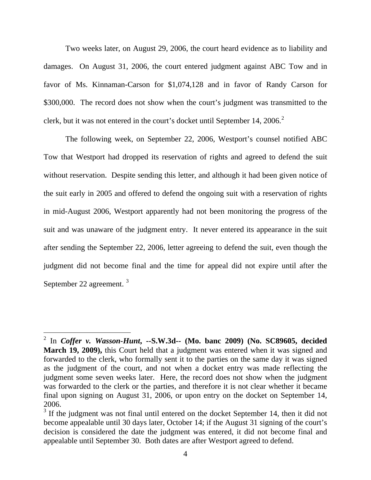Two weeks later, on August 29, 2006, the court heard evidence as to liability and damages. On August 31, 2006, the court entered judgment against ABC Tow and in favor of Ms. Kinnaman-Carson for \$1,074,128 and in favor of Randy Carson for \$300,000. The record does not show when the court's judgment was transmitted to the clerk, but it was not entered in the court's docket until September 14, [2](#page-3-0)006.<sup>2</sup>

The following week, on September 22, 2006, Westport's counsel notified ABC Tow that Westport had dropped its reservation of rights and agreed to defend the suit without reservation. Despite sending this letter, and although it had been given notice of the suit early in 2005 and offered to defend the ongoing suit with a reservation of rights in mid-August 2006, Westport apparently had not been monitoring the progress of the suit and was unaware of the judgment entry. It never entered its appearance in the suit after sending the September 22, 2006, letter agreeing to defend the suit, even though the judgment did not become final and the time for appeal did not expire until after the September 22 agreement. [3](#page-3-1)

<span id="page-3-0"></span><sup>2</sup> In *Coffer v. Wasson-Hunt***, --S.W.3d-- (Mo. banc 2009) (No. SC89605, decided March 19, 2009),** this Court held that a judgment was entered when it was signed and forwarded to the clerk, who formally sent it to the parties on the same day it was signed as the judgment of the court, and not when a docket entry was made reflecting the judgment some seven weeks later. Here, the record does not show when the judgment was forwarded to the clerk or the parties, and therefore it is not clear whether it became final upon signing on August 31, 2006, or upon entry on the docket on September 14, 2006.

<span id="page-3-1"></span> $3$  If the judgment was not final until entered on the docket September 14, then it did not become appealable until 30 days later, October 14; if the August 31 signing of the court's decision is considered the date the judgment was entered, it did not become final and appealable until September 30. Both dates are after Westport agreed to defend.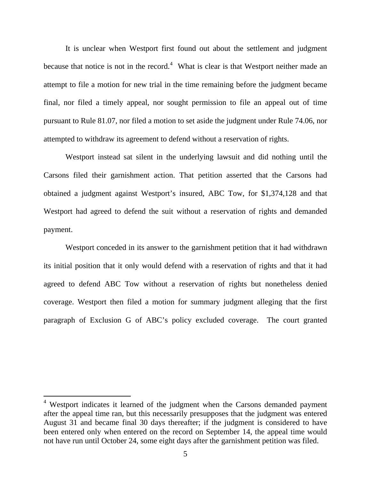It is unclear when Westport first found out about the settlement and judgment because that notice is not in the record.<sup>[4](#page-4-0)</sup> What is clear is that Westport neither made an attempt to file a motion for new trial in the time remaining before the judgment became final, nor filed a timely appeal, nor sought permission to file an appeal out of time pursuant to Rule 81.07, nor filed a motion to set aside the judgment under Rule 74.06, nor attempted to withdraw its agreement to defend without a reservation of rights.

Westport instead sat silent in the underlying lawsuit and did nothing until the Carsons filed their garnishment action. That petition asserted that the Carsons had obtained a judgment against Westport's insured, ABC Tow, for \$1,374,128 and that Westport had agreed to defend the suit without a reservation of rights and demanded payment.

Westport conceded in its answer to the garnishment petition that it had withdrawn its initial position that it only would defend with a reservation of rights and that it had agreed to defend ABC Tow without a reservation of rights but nonetheless denied coverage. Westport then filed a motion for summary judgment alleging that the first paragraph of Exclusion G of ABC's policy excluded coverage. The court granted

-

<span id="page-4-0"></span><sup>&</sup>lt;sup>4</sup> Westport indicates it learned of the judgment when the Carsons demanded payment after the appeal time ran, but this necessarily presupposes that the judgment was entered August 31 and became final 30 days thereafter; if the judgment is considered to have been entered only when entered on the record on September 14, the appeal time would not have run until October 24, some eight days after the garnishment petition was filed.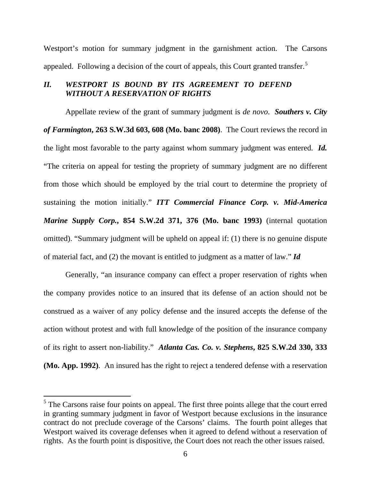Westport's motion for summary judgment in the garnishment action. The Carsons appealed. Following a decision of the court of appeals, this Court granted transfer.<sup>[5](#page-5-0)</sup>

# *II. WESTPORT IS BOUND BY ITS AGREEMENT TO DEFEND WITHOUT A RESERVATION OF RIGHTS*

Appellate review of the grant of summary judgment is *de novo*. *Southers v. City of Farmington***, 263 S.W.3d 603, 608 (Mo. banc 2008)**. The Court reviews the record in the light most favorable to the party against whom summary judgment was entered. *Id.* "The criteria on appeal for testing the propriety of summary judgment are no different from those which should be employed by the trial court to determine the propriety of sustaining the motion initially." *ITT Commercial Finance Corp. v. Mid-America Marine Supply Corp.***, 854 S.W.2d 371, 376 (Mo. banc 1993)** (internal quotation omitted). "Summary judgment will be upheld on appeal if: (1) there is no genuine dispute of material fact, and (2) the movant is entitled to judgment as a matter of law." *Id* 

 Generally, "an insurance company can effect a proper reservation of rights when the company provides notice to an insured that its defense of an action should not be construed as a waiver of any policy defense and the insured accepts the defense of the action without protest and with full knowledge of the position of the insurance company of its right to assert non-liability." *Atlanta Cas. Co. v. Stephens***, 825 S.W.2d 330, 333 (Mo. App. 1992)**. An insured has the right to reject a tendered defense with a reservation

<span id="page-5-0"></span> $<sup>5</sup>$  The Carsons raise four points on appeal. The first three points allege that the court erred</sup> in granting summary judgment in favor of Westport because exclusions in the insurance contract do not preclude coverage of the Carsons' claims. The fourth point alleges that Westport waived its coverage defenses when it agreed to defend without a reservation of rights. As the fourth point is dispositive, the Court does not reach the other issues raised.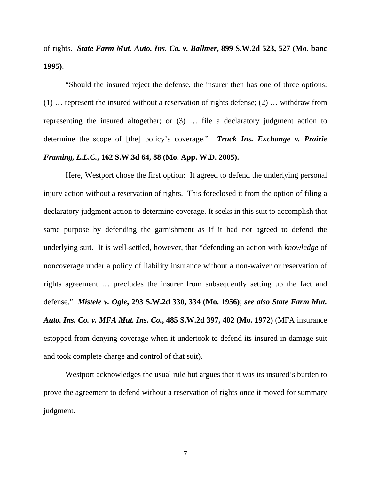of rights. *State Farm Mut. Auto. Ins. Co. v. Ballmer***, 899 S.W.2d 523, 527 (Mo. banc 1995)**.

"Should the insured reject the defense, the insurer then has one of three options: (1) … represent the insured without a reservation of rights defense; (2) … withdraw from representing the insured altogether; or (3) … file a declaratory judgment action to determine the scope of [the] policy's coverage." *Truck Ins. Exchange v. Prairie Framing, L.L.C.***, 162 S.W.3d 64, 88 (Mo. App. W.D. 2005).**

Here, Westport chose the first option: It agreed to defend the underlying personal injury action without a reservation of rights. This foreclosed it from the option of filing a declaratory judgment action to determine coverage. It seeks in this suit to accomplish that same purpose by defending the garnishment as if it had not agreed to defend the underlying suit. It is well-settled, however, that "defending an action with *knowledge* of noncoverage under a policy of liability insurance without a non-waiver or reservation of rights agreement … precludes the insurer from subsequently setting up the fact and defense." *Mistele v. Ogle***, 293 S.W.2d 330, 334 (Mo. 1956)**; *see also State Farm Mut. Auto. Ins. Co. v. MFA Mut. Ins. Co.***, 485 S.W.2d 397, 402 (Mo. 1972)** (MFA insurance estopped from denying coverage when it undertook to defend its insured in damage suit and took complete charge and control of that suit).

Westport acknowledges the usual rule but argues that it was its insured's burden to prove the agreement to defend without a reservation of rights once it moved for summary judgment.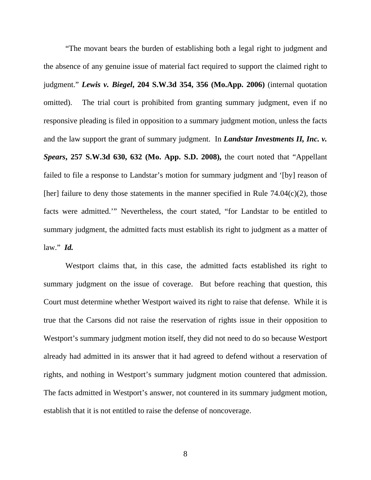"The movant bears the burden of establishing both a legal right to judgment and the absence of any genuine issue of material fact required to support the claimed right to judgment." *Lewis v. Biegel***, 204 S.W.3d 354, 356 (Mo.App. 2006)** (internal quotation omitted). The trial court is prohibited from granting summary judgment, even if no responsive pleading is filed in opposition to a summary judgment motion, unless the facts and the law support the grant of summary judgment. In *Landstar Investments II, Inc. v. Spears***, 257 S.W.3d 630, 632 (Mo. App. S.D. 2008),** the court noted that "Appellant failed to file a response to Landstar's motion for summary judgment and '[by] reason of [her] failure to deny those statements in the manner specified in Rule  $74.04(c)(2)$ , those facts were admitted.'" Nevertheless, the court stated, "for Landstar to be entitled to summary judgment, the admitted facts must establish its right to judgment as a matter of law." *Id.* 

Westport claims that, in this case, the admitted facts established its right to summary judgment on the issue of coverage. But before reaching that question, this Court must determine whether Westport waived its right to raise that defense. While it is true that the Carsons did not raise the reservation of rights issue in their opposition to Westport's summary judgment motion itself, they did not need to do so because Westport already had admitted in its answer that it had agreed to defend without a reservation of rights, and nothing in Westport's summary judgment motion countered that admission. The facts admitted in Westport's answer, not countered in its summary judgment motion, establish that it is not entitled to raise the defense of noncoverage.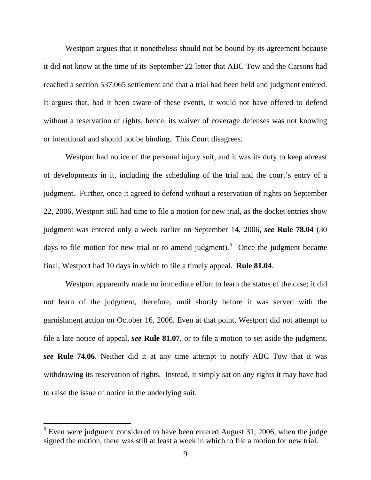Westport argues that it nonetheless should not be bound by its agreement because it did not know at the time of its September 22 letter that ABC Tow and the Carsons had reached a section 537.065 settlement and that a trial had been held and judgment entered. It argues that, had it been aware of these events, it would not have offered to defend without a reservation of rights; hence, its waiver of coverage defenses was not knowing or intentional and should not be binding. This Court disagrees.

Westport had notice of the personal injury suit, and it was its duty to keep abreast of developments in it, including the scheduling of the trial and the court's entry of a judgment. Further, once it agreed to defend without a reservation of rights on September 22, 2006, Westport still had time to file a motion for new trial, as the docket entries show judgment was entered only a week earlier on September 14, 2006, *see* **Rule 78.04** (30 days to file motion for new trial or to amend judgment). <sup>[6](#page-8-0)</sup> Once the judgment became final, Westport had 10 days in which to file a timely appeal. **Rule 81.04**.

Westport apparently made no immediate effort to learn the status of the case; it did not learn of the judgment, therefore, until shortly before it was served with the garnishment action on October 16, 2006. Even at that point, Westport did not attempt to file a late notice of appeal, *see* **Rule 81.07**, or to file a motion to set aside the judgment, *see* **Rule 74.06**. Neither did it at any time attempt to notify ABC Tow that it was withdrawing its reservation of rights. Instead, it simply sat on any rights it may have had to raise the issue of notice in the underlying suit.

<span id="page-8-0"></span> $6$  Even were judgment considered to have been entered August 31, 2006, when the judge signed the motion, there was still at least a week in which to file a motion for new trial.